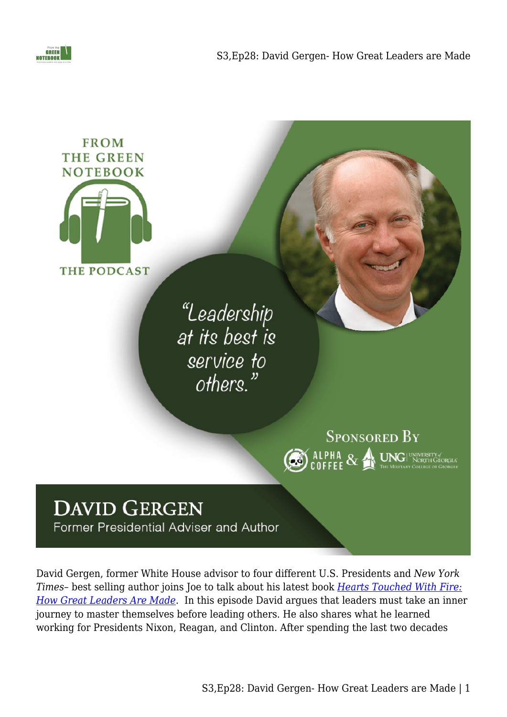





David Gergen, former White House advisor to four different U.S. Presidents and *New York Times*– best selling author joins Joe to talk about his latest book *[Hearts Touched With Fire:](https://amzn.to/3meWC4Z) [How Great Leaders Are Made](https://amzn.to/3meWC4Z)*. In this episode David argues that leaders must take an inner journey to master themselves before leading others. He also shares what he learned working for Presidents Nixon, Reagan, and Clinton. After spending the last two decades